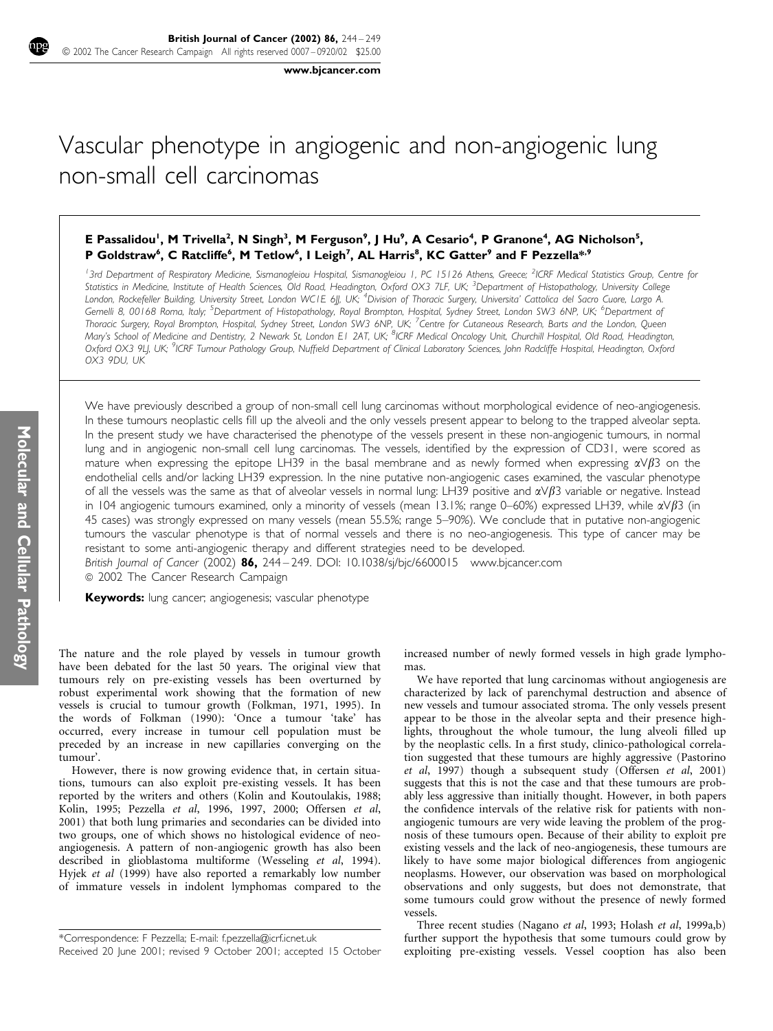www.bjcancer.com

# Vascular phenotype in angiogenic and non-angiogenic lung non-small cell carcinomas

## E Passalidou<sup>1</sup>, M Trivella<sup>2</sup>, N Singh<sup>3</sup>, M Ferguson<sup>9</sup>, J Hu<sup>9</sup>, A Cesario<sup>4</sup>, P Granone<sup>4</sup>, AG Nicholson<sup>5</sup>, P Goldstraw<sup>6</sup>, C Ratcliffe<sup>6</sup>, M Tetlow<sup>6</sup>, I Leigh<sup>7</sup>, AL Harris<sup>8</sup>, KC Gatter<sup>9</sup> and F Pezzella<sup>\*,9</sup>

<sup>1</sup>3rd Department of Respiratory Medicine, Sismanogleiou Hospital, Sismanogleiou 1, PC 15126 Athens, Greece; <sup>2</sup>ICRF Medical Statistics Group, Centre for Statistics in Medicine, Institute of Health Sciences, Old Road, Headington, Oxford OX3 7LF, UK; <sup>3</sup>Department of Histopathology, University College London, Rockefeller Building, University Street, London WCTE 6JJ, UK; <sup>4</sup>Division of Thoracic Surgery, Universita' Cattolica del Sacro Cuore, Largo A. Gemelli 8, 00168 Roma, Italy; <sup>5</sup>Department of Histopathology, Royal Brompton, Hospital, Sydney Street, London SW3 6NP, UK; <sup>6</sup>Department of Thoracic Surgery, Royal Brompton, Hospital, Sydney Street, London SW3 6NP, UK; <sup>7</sup>Centre for Cutaneous Research, Barts and the London, Queen Mary's School of Medicine and Dentistry, 2 Newark St, London E1 2AT, UK; <sup>8</sup>ICRF Medical Oncology Unit, Churchill Hospital, Old Road, Headington, Oxford OX3 9LJ, UK; <sup>9</sup>ICRF Tumour Pathology Group, Nuffield Department of Clinical Laboratory Sciences, John Radcliffe Hospital, Headington, Oxford OX3 9DU, UK

We have previously described a group of non-small cell lung carcinomas without morphological evidence of neo-angiogenesis. In these tumours neoplastic cells fill up the alveoli and the only vessels present appear to belong to the trapped alveolar septa. In the present study we have characterised the phenotype of the vessels present in these non-angiogenic tumours, in normal lung and in angiogenic non-small cell lung carcinomas. The vessels, identified by the expression of CD31, were scored as mature when expressing the epitope LH39 in the basal membrane and as newly formed when expressing  $\alpha\sqrt{\beta}$  on the endothelial cells and/or lacking LH39 expression. In the nine putative non-angiogenic cases examined, the vascular phenotype of all the vessels was the same as that of alveolar vessels in normal lung: LH39 positive and  $\alpha\sqrt{\beta}3$  variable or negative. Instead in 104 angiogenic tumours examined, only a minority of vessels (mean 13.1%; range 0–60%) expressed LH39, while  $\alpha\sqrt{\beta}3$  (in 45 cases) was strongly expressed on many vessels (mean 55.5%; range 5–90%). We conclude that in putative non-angiogenic tumours the vascular phenotype is that of normal vessels and there is no neo-angiogenesis. This type of cancer may be resistant to some anti-angiogenic therapy and different strategies need to be developed.

British Journal of Cancer (2002)  $86$ , 244 – 249. DOI: 10.1038/sj/bjc/6600015 www.bjcancer.com  $© 2002$  The Cancer Research Campaign

Keywords: lung cancer; angiogenesis; vascular phenotype

The nature and the role played by vessels in tumour growth have been debated for the last 50 years. The original view that tumours rely on pre-existing vessels has been overturned by robust experimental work showing that the formation of new vessels is crucial to tumour growth (Folkman, 1971, 1995). In the words of Folkman (1990): 'Once a tumour 'take' has occurred, every increase in tumour cell population must be preceded by an increase in new capillaries converging on the tumour'.

However, there is now growing evidence that, in certain situations, tumours can also exploit pre-existing vessels. It has been reported by the writers and others (Kolin and Koutoulakis, 1988; Kolin, 1995; Pezzella et al, 1996, 1997, 2000; Offersen et al, 2001) that both lung primaries and secondaries can be divided into two groups, one of which shows no histological evidence of neoangiogenesis. A pattern of non-angiogenic growth has also been described in glioblastoma multiforme (Wesseling et al, 1994). Hyjek et al (1999) have also reported a remarkably low number of immature vessels in indolent lymphomas compared to the increased number of newly formed vessels in high grade lymphomas.

We have reported that lung carcinomas without angiogenesis are characterized by lack of parenchymal destruction and absence of new vessels and tumour associated stroma. The only vessels present appear to be those in the alveolar septa and their presence highlights, throughout the whole tumour, the lung alveoli filled up by the neoplastic cells. In a first study, clinico-pathological correlation suggested that these tumours are highly aggressive (Pastorino et al, 1997) though a subsequent study (Offersen et al, 2001) suggests that this is not the case and that these tumours are probably less aggressive than initially thought. However, in both papers the confidence intervals of the relative risk for patients with nonangiogenic tumours are very wide leaving the problem of the prognosis of these tumours open. Because of their ability to exploit pre existing vessels and the lack of neo-angiogenesis, these tumours are likely to have some major biological differences from angiogenic neoplasms. However, our observation was based on morphological observations and only suggests, but does not demonstrate, that some tumours could grow without the presence of newly formed vessels.

Three recent studies (Nagano et al, 1993; Holash et al, 1999a,b) further support the hypothesis that some tumours could grow by exploiting pre-existing vessels. Vessel cooption has also been

<sup>\*</sup>Correspondence: F Pezzella; E-mail: f.pezzella@icrf.icnet.uk

Received 20 June 2001; revised 9 October 2001; accepted 15 October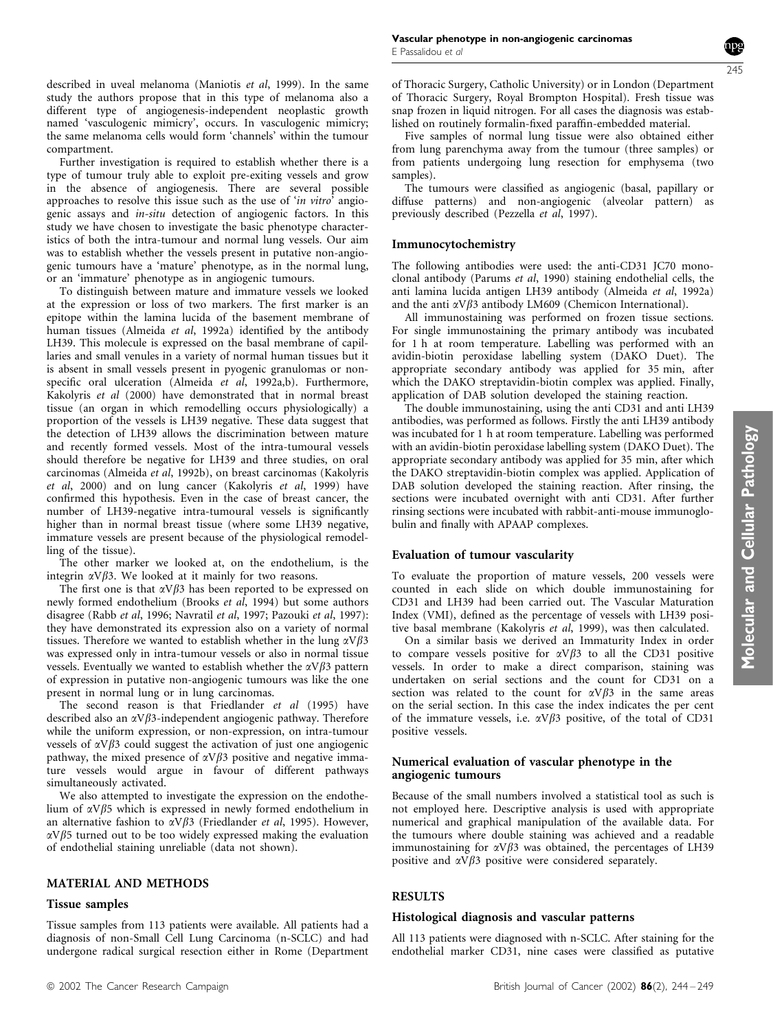Molecular and Cellular Pathology

Molecular and Cellular Pathology

described in uveal melanoma (Maniotis et al, 1999). In the same study the authors propose that in this type of melanoma also a different type of angiogenesis-independent neoplastic growth named 'vasculogenic mimicry', occurs. In vasculogenic mimicry; the same melanoma cells would form 'channels' within the tumour compartment.

Further investigation is required to establish whether there is a type of tumour truly able to exploit pre-exiting vessels and grow in the absence of angiogenesis. There are several possible approaches to resolve this issue such as the use of 'in vitro' angiogenic assays and in-situ detection of angiogenic factors. In this study we have chosen to investigate the basic phenotype characteristics of both the intra-tumour and normal lung vessels. Our aim was to establish whether the vessels present in putative non-angiogenic tumours have a 'mature' phenotype, as in the normal lung, or an 'immature' phenotype as in angiogenic tumours.

To distinguish between mature and immature vessels we looked at the expression or loss of two markers. The first marker is an epitope within the lamina lucida of the basement membrane of human tissues (Almeida et al, 1992a) identified by the antibody LH39. This molecule is expressed on the basal membrane of capillaries and small venules in a variety of normal human tissues but it is absent in small vessels present in pyogenic granulomas or nonspecific oral ulceration (Almeida et al, 1992a,b). Furthermore, Kakolyris et al (2000) have demonstrated that in normal breast tissue (an organ in which remodelling occurs physiologically) a proportion of the vessels is LH39 negative. These data suggest that the detection of LH39 allows the discrimination between mature and recently formed vessels. Most of the intra-tumoural vessels should therefore be negative for LH39 and three studies, on oral carcinomas (Almeida et al, 1992b), on breast carcinomas (Kakolyris et al, 2000) and on lung cancer (Kakolyris et al, 1999) have confirmed this hypothesis. Even in the case of breast cancer, the number of LH39-negative intra-tumoural vessels is significantly higher than in normal breast tissue (where some LH39 negative, immature vessels are present because of the physiological remodelling of the tissue).

The other marker we looked at, on the endothelium, is the integrin  $\alpha V\beta$ 3. We looked at it mainly for two reasons.

The first one is that  $\alpha V\beta$ 3 has been reported to be expressed on newly formed endothelium (Brooks et al, 1994) but some authors disagree (Rabb et al, 1996; Navratil et al, 1997; Pazouki et al, 1997): they have demonstrated its expression also on a variety of normal tissues. Therefore we wanted to establish whether in the lung  $\alpha V\beta 3$ was expressed only in intra-tumour vessels or also in normal tissue vessels. Eventually we wanted to establish whether the  $\alpha V\beta3$  pattern of expression in putative non-angiogenic tumours was like the one present in normal lung or in lung carcinomas.

The second reason is that Friedlander et al (1995) have described also an  $\alpha V\beta$ 3-independent angiogenic pathway. Therefore while the uniform expression, or non-expression, on intra-tumour vessels of  $\alpha V\beta$ 3 could suggest the activation of just one angiogenic pathway, the mixed presence of  $\alpha V\beta$ 3 positive and negative immature vessels would argue in favour of different pathways simultaneously activated.

We also attempted to investigate the expression on the endothelium of  $\alpha V\beta$ 5 which is expressed in newly formed endothelium in an alternative fashion to  $\alpha \sqrt{B_3}$  (Friedlander *et al*, 1995). However,  $\alpha V\beta$ 5 turned out to be too widely expressed making the evaluation of endothelial staining unreliable (data not shown).

## MATERIAL AND METHODS

## Tissue samples

Tissue samples from 113 patients were available. All patients had a diagnosis of non-Small Cell Lung Carcinoma (n-SCLC) and had undergone radical surgical resection either in Rome (Department of Thoracic Surgery, Catholic University) or in London (Department of Thoracic Surgery, Royal Brompton Hospital). Fresh tissue was snap frozen in liquid nitrogen. For all cases the diagnosis was established on routinely formalin-fixed paraffin-embedded material.

Five samples of normal lung tissue were also obtained either from lung parenchyma away from the tumour (three samples) or from patients undergoing lung resection for emphysema (two samples).

The tumours were classified as angiogenic (basal, papillary or diffuse patterns) and non-angiogenic (alveolar pattern) as previously described (Pezzella et al, 1997).

# Immunocytochemistry

The following antibodies were used: the anti-CD31 JC70 monoclonal antibody (Parums et al, 1990) staining endothelial cells, the anti lamina lucida antigen LH39 antibody (Almeida et al, 1992a) and the anti  $\alpha V\beta$ 3 antibody LM609 (Chemicon International).

All immunostaining was performed on frozen tissue sections. For single immunostaining the primary antibody was incubated for 1 h at room temperature. Labelling was performed with an avidin-biotin peroxidase labelling system (DAKO Duet). The appropriate secondary antibody was applied for 35 min, after which the DAKO streptavidin-biotin complex was applied. Finally, application of DAB solution developed the staining reaction.

The double immunostaining, using the anti CD31 and anti LH39 antibodies, was performed as follows. Firstly the anti LH39 antibody was incubated for 1 h at room temperature. Labelling was performed with an avidin-biotin peroxidase labelling system (DAKO Duet). The appropriate secondary antibody was applied for 35 min, after which the DAKO streptavidin-biotin complex was applied. Application of DAB solution developed the staining reaction. After rinsing, the sections were incubated overnight with anti CD31. After further rinsing sections were incubated with rabbit-anti-mouse immunoglobulin and finally with APAAP complexes.

## Evaluation of tumour vascularity

To evaluate the proportion of mature vessels, 200 vessels were counted in each slide on which double immunostaining for CD31 and LH39 had been carried out. The Vascular Maturation Index (VMI), defined as the percentage of vessels with LH39 positive basal membrane (Kakolyris et al, 1999), was then calculated.

On a similar basis we derived an Immaturity Index in order to compare vessels positive for  $\alpha V \beta$ 3 to all the CD31 positive vessels. In order to make a direct comparison, staining was undertaken on serial sections and the count for CD31 on a section was related to the count for  $\alpha V\beta3$  in the same areas on the serial section. In this case the index indicates the per cent of the immature vessels, i.e.  $\alpha V\beta$ 3 positive, of the total of CD31 positive vessels.

#### Numerical evaluation of vascular phenotype in the angiogenic tumours

Because of the small numbers involved a statistical tool as such is not employed here. Descriptive analysis is used with appropriate numerical and graphical manipulation of the available data. For the tumours where double staining was achieved and a readable immunostaining for  $\alpha V\beta$ 3 was obtained, the percentages of LH39 positive and  $\alpha V\beta$ 3 positive were considered separately.

## RESULTS

#### Histological diagnosis and vascular patterns

All 113 patients were diagnosed with n-SCLC. After staining for the endothelial marker CD31, nine cases were classified as putative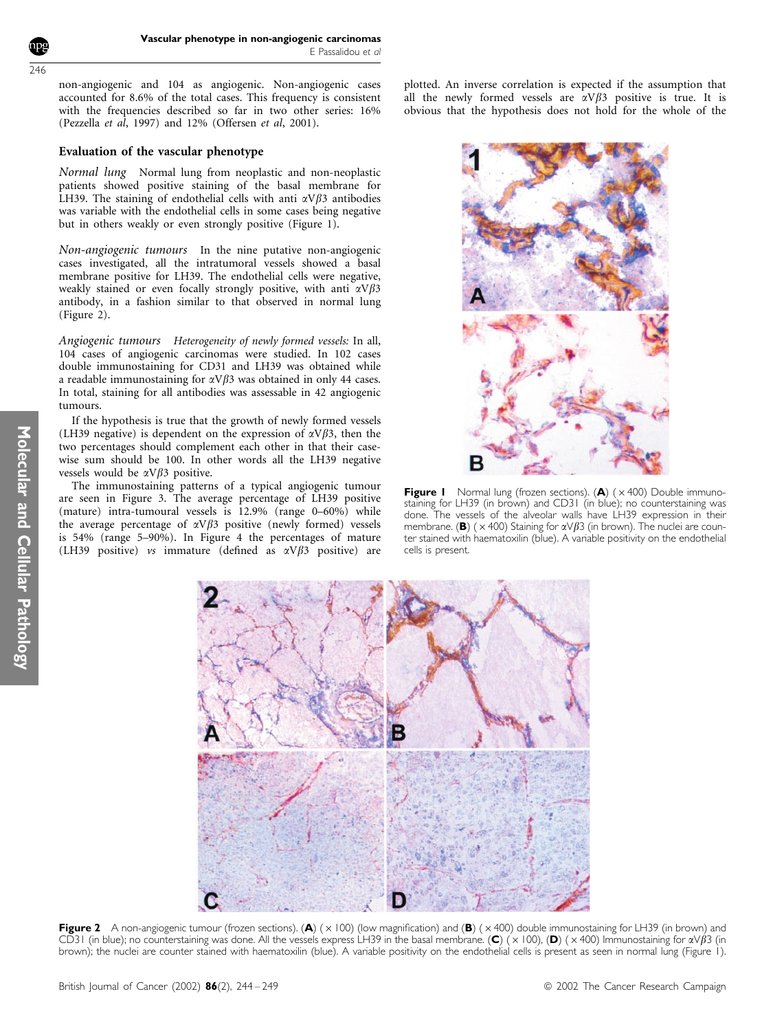non-angiogenic and 104 as angiogenic. Non-angiogenic cases accounted for 8.6% of the total cases. This frequency is consistent with the frequencies described so far in two other series: 16% (Pezzella et al, 1997) and 12% (Offersen et al, 2001).

#### Evaluation of the vascular phenotype

Normal lung Normal lung from neoplastic and non-neoplastic patients showed positive staining of the basal membrane for LH39. The staining of endothelial cells with anti  $\alpha V\beta$ 3 antibodies was variable with the endothelial cells in some cases being negative but in others weakly or even strongly positive (Figure 1).

Non-angiogenic tumours In the nine putative non-angiogenic cases investigated, all the intratumoral vessels showed a basal membrane positive for LH39. The endothelial cells were negative, weakly stained or even focally strongly positive, with anti  $\alpha V\beta 3$ antibody, in a fashion similar to that observed in normal lung (Figure 2).

Angiogenic tumours Heterogeneity of newly formed vessels: In all, 104 cases of angiogenic carcinomas were studied. In 102 cases double immunostaining for CD31 and LH39 was obtained while a readable immunostaining for  $\alpha V\beta3$  was obtained in only 44 cases. In total, staining for all antibodies was assessable in 42 angiogenic tumours.

If the hypothesis is true that the growth of newly formed vessels (LH39 negative) is dependent on the expression of  $\alpha V\beta$ 3, then the two percentages should complement each other in that their casewise sum should be 100. In other words all the LH39 negative vessels would be  $\alpha V\beta$ 3 positive.

The immunostaining patterns of a typical angiogenic tumour are seen in Figure 3. The average percentage of LH39 positive (mature) intra-tumoural vessels is  $12.9\%$  (range  $0-60\%$ ) while the average percentage of  $\alpha V\beta3$  positive (newly formed) vessels is 54% (range 5–90%). In Figure 4 the percentages of mature (LH39 positive) vs immature (defined as  $\alpha V \beta$ 3 positive) are plotted. An inverse correlation is expected if the assumption that all the newly formed vessels are  $\alpha V\beta3$  positive is true. It is obvious that the hypothesis does not hold for the whole of the



**Figure I** Normal lung (frozen sections).  $(A)$  ( $\times$  400) Double immunostaining for LH39 (in brown) and CD31 (in blue); no counterstaining was done. The vessels of the alveolar walls have LH39 expression in their membrane. (B) ( $\times$  400) Staining for  $\alpha$ V $\beta$ 3 (in brown). The nuclei are counter stained with haematoxilin (blue). A variable positivity on the endothelial cells is present.



Figure 2 A non-angiogenic tumour (frozen sections). (A) ( $\times$  100) (low magnification) and (B) ( $\times$  400) double immunostaining for LH39 (in brown) and CD31 (in blue); no counterstaining was done. All the vessels express LH39 in the basal membrane. (C) ( $\times$ 100), (D) ( $\times$ 400) Immunostaining for  $\alpha\sqrt{\beta}$ 3 (in brown); the nuclei are counter stained with haematoxilin (blue). A variable positivity on the endothelial cells is present as seen in normal lung (Figure 1).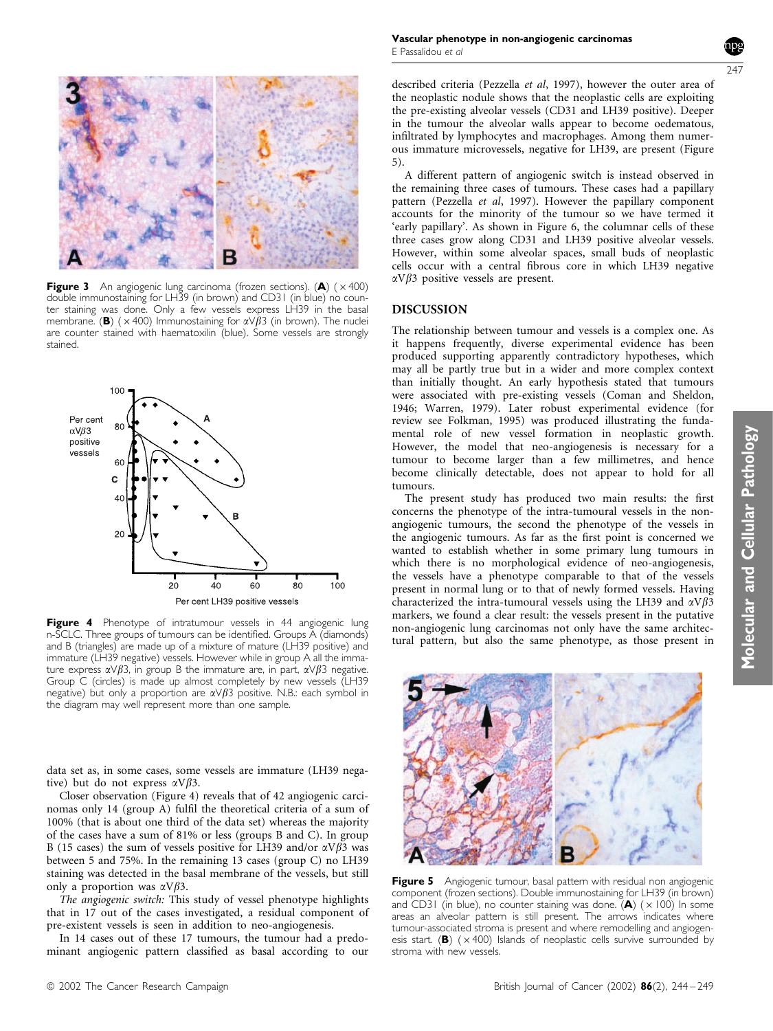

**Figure 3** An angiogenic lung carcinoma (frozen sections). (A)  $(x400)$ double immunostaining for LH39 (in brown) and CD31 (in blue) no counter staining was done. Only a few vessels express LH39 in the basal membrane. (B) ( $\times$  400) Immunostaining for  $\alpha \vee \beta$ 3 (in brown). The nuclei are counter stained with haematoxilin (blue). Some vessels are strongly stained.



Figure 4 Phenotype of intratumour vessels in 44 angiogenic lung n-SCLC. Three groups of tumours can be identified. Groups A (diamonds) and B (triangles) are made up of a mixture of mature (LH39 positive) and immature (LH39 negative) vessels. However while in group A all the immature express  $\alpha \vee \beta$ 3, in group B the immature are, in part,  $\alpha \vee \beta$ 3 negative. Group C (circles) is made up almost completely by new vessels (LH39 negative) but only a proportion are  $\alpha \vee \beta$ 3 positive. N.B.: each symbol in the diagram may well represent more than one sample.

data set as, in some cases, some vessels are immature (LH39 negative) but do not express  $\alpha V \beta 3$ .

Closer observation (Figure 4) reveals that of 42 angiogenic carcinomas only 14 (group A) fulfil the theoretical criteria of a sum of 100% (that is about one third of the data set) whereas the majority of the cases have a sum of 81% or less (groups B and C). In group B (15 cases) the sum of vessels positive for LH39 and/or  $\alpha V \beta$ 3 was between 5 and 75%. In the remaining 13 cases (group C) no LH39 staining was detected in the basal membrane of the vessels, but still only a proportion was  $\alpha V \beta 3$ .

The angiogenic switch: This study of vessel phenotype highlights that in 17 out of the cases investigated, a residual component of pre-existent vessels is seen in addition to neo-angiogenesis.

In 14 cases out of these 17 tumours, the tumour had a predominant angiogenic pattern classified as basal according to our described criteria (Pezzella et al, 1997), however the outer area of the neoplastic nodule shows that the neoplastic cells are exploiting the pre-existing alveolar vessels (CD31 and LH39 positive). Deeper in the tumour the alveolar walls appear to become oedematous, infiltrated by lymphocytes and macrophages. Among them numerous immature microvessels, negative for LH39, are present (Figure 5).

A different pattern of angiogenic switch is instead observed in the remaining three cases of tumours. These cases had a papillary pattern (Pezzella et al, 1997). However the papillary component accounts for the minority of the tumour so we have termed it 'early papillary'. As shown in Figure 6, the columnar cells of these three cases grow along CD31 and LH39 positive alveolar vessels. However, within some alveolar spaces, small buds of neoplastic cells occur with a central fibrous core in which LH39 negative  $\alpha V\beta$ 3 positive vessels are present.

#### DISCUSSION

The relationship between tumour and vessels is a complex one. As it happens frequently, diverse experimental evidence has been produced supporting apparently contradictory hypotheses, which may all be partly true but in a wider and more complex context than initially thought. An early hypothesis stated that tumours were associated with pre-existing vessels (Coman and Sheldon, 1946; Warren, 1979). Later robust experimental evidence (for review see Folkman, 1995) was produced illustrating the fundamental role of new vessel formation in neoplastic growth. However, the model that neo-angiogenesis is necessary for a tumour to become larger than a few millimetres, and hence become clinically detectable, does not appear to hold for all tumours.

The present study has produced two main results: the first concerns the phenotype of the intra-tumoural vessels in the nonangiogenic tumours, the second the phenotype of the vessels in the angiogenic tumours. As far as the first point is concerned we wanted to establish whether in some primary lung tumours in which there is no morphological evidence of neo-angiogenesis, the vessels have a phenotype comparable to that of the vessels present in normal lung or to that of newly formed vessels. Having characterized the intra-tumoural vessels using the LH39 and  $\alpha V\beta$ 3 markers, we found a clear result: the vessels present in the putative non-angiogenic lung carcinomas not only have the same architectural pattern, but also the same phenotype, as those present in



Figure 5 Angiogenic tumour, basal pattern with residual non angiogenic component (frozen sections). Double immunostaining for LH39 (in brown) and CD31 (in blue), no counter staining was done.  $\overline{(A)}$  ( $\times$  100) In some areas an alveolar pattern is still present. The arrows indicates where tumour-associated stroma is present and where remodelling and angiogenesis start. (B)  $(x400)$  Islands of neoplastic cells survive surrounded by stroma with new vessels.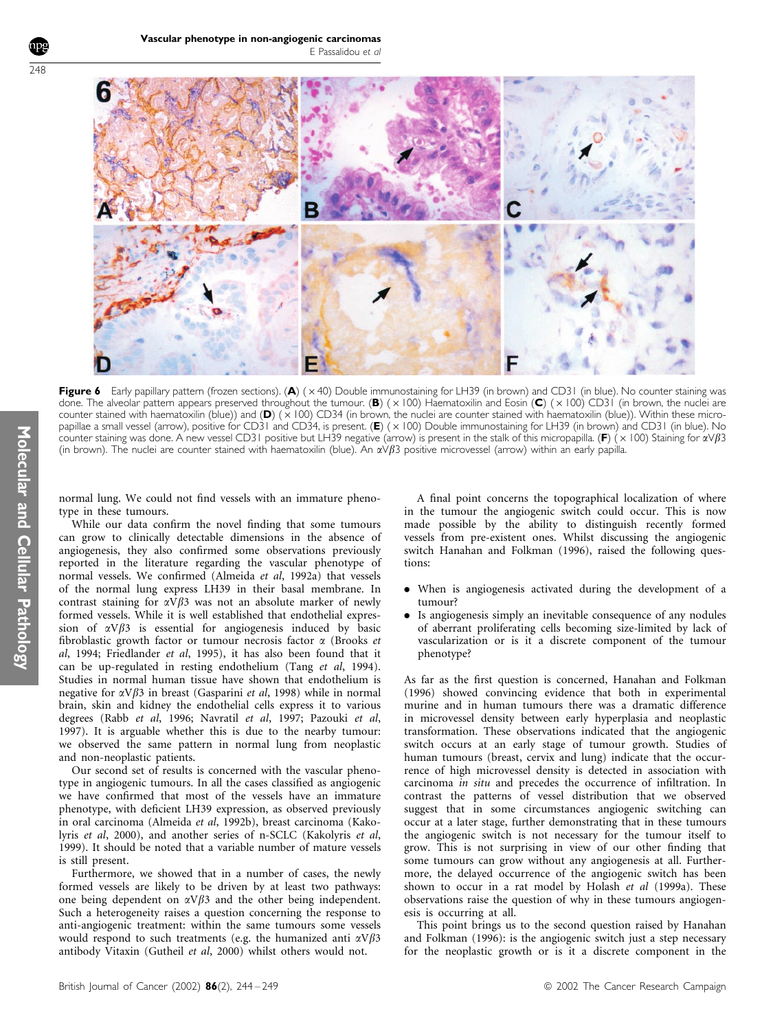

Figure 6 Early papillary pattern (frozen sections). (A)  $(x 40)$  Double immunostaining for LH39 (in brown) and CD31 (in blue). No counter staining was done. The alveolar pattern appears preserved throughout the tumour. (B) ( $\times$ 100) Haematoxilin and Eosin (C) ( $\times$ 100) CD31 (in brown, the nuclei are counter stained with haematoxilin (blue)) and (D) ( $\times$ 100) CD34 (in brown, the nuclei are counter stained with haematoxilin (blue)). Within these micropapillae a small vessel (arrow), positive for CD31 and CD34, is present. (E)  $(x 100)$  Double immunostaining for LH39 (in brown) and CD31 (in blue). No counter staining was done. A new vessel CD31 positive but LH39 negative (arrow) is present in the stalk of this micropapilla. (F) (× 100) Staining for  $\alpha\vee\beta$ 3 (in brown). The nuclei are counter stained with haematoxilin (blue). An  $\alpha\vee\beta$ 3 positive microvessel (arrow) within an early papilla.

normal lung. We could not find vessels with an immature phenotype in these tumours.

While our data confirm the novel finding that some tumours can grow to clinically detectable dimensions in the absence of angiogenesis, they also confirmed some observations previously reported in the literature regarding the vascular phenotype of normal vessels. We confirmed (Almeida et al, 1992a) that vessels of the normal lung express LH39 in their basal membrane. In contrast staining for  $\alpha\hat{V}\beta3$  was not an absolute marker of newly formed vessels. While it is well established that endothelial expression of  $\alpha V\beta$ 3 is essential for angiogenesis induced by basic fibroblastic growth factor or tumour necrosis factor  $\alpha$  (Brooks et al, 1994; Friedlander et al, 1995), it has also been found that it can be up-regulated in resting endothelium (Tang et al, 1994). Studies in normal human tissue have shown that endothelium is negative for  $\alpha V \beta 3$  in breast (Gasparini et al, 1998) while in normal brain, skin and kidney the endothelial cells express it to various degrees (Rabb et al, 1996; Navratil et al, 1997; Pazouki et al, 1997). It is arguable whether this is due to the nearby tumour: we observed the same pattern in normal lung from neoplastic and non-neoplastic patients.

Our second set of results is concerned with the vascular phenotype in angiogenic tumours. In all the cases classified as angiogenic we have confirmed that most of the vessels have an immature phenotype, with deficient LH39 expression, as observed previously in oral carcinoma (Almeida et al, 1992b), breast carcinoma (Kakolyris et al, 2000), and another series of n-SCLC (Kakolyris et al, 1999). It should be noted that a variable number of mature vessels is still present.

Furthermore, we showed that in a number of cases, the newly formed vessels are likely to be driven by at least two pathways: one being dependent on  $\alpha V\beta$ 3 and the other being independent. Such a heterogeneity raises a question concerning the response to anti-angiogenic treatment: within the same tumours some vessels would respond to such treatments (e.g. the humanized anti  $\alpha V\beta 3$ antibody Vitaxin (Gutheil et al, 2000) whilst others would not.

A final point concerns the topographical localization of where in the tumour the angiogenic switch could occur. This is now made possible by the ability to distinguish recently formed vessels from pre-existent ones. Whilst discussing the angiogenic switch Hanahan and Folkman (1996), raised the following questions:

- . When is angiogenesis activated during the development of a tumour?
- . Is angiogenesis simply an inevitable consequence of any nodules of aberrant proliferating cells becoming size-limited by lack of vascularization or is it a discrete component of the tumour phenotype?

As far as the first question is concerned, Hanahan and Folkman (1996) showed convincing evidence that both in experimental murine and in human tumours there was a dramatic difference in microvessel density between early hyperplasia and neoplastic transformation. These observations indicated that the angiogenic switch occurs at an early stage of tumour growth. Studies of human tumours (breast, cervix and lung) indicate that the occurrence of high microvessel density is detected in association with carcinoma in situ and precedes the occurrence of infiltration. In contrast the patterns of vessel distribution that we observed suggest that in some circumstances angiogenic switching can occur at a later stage, further demonstrating that in these tumours the angiogenic switch is not necessary for the tumour itself to grow. This is not surprising in view of our other finding that some tumours can grow without any angiogenesis at all. Furthermore, the delayed occurrence of the angiogenic switch has been shown to occur in a rat model by Holash et al (1999a). These observations raise the question of why in these tumours angiogenesis is occurring at all.

This point brings us to the second question raised by Hanahan and Folkman (1996): is the angiogenic switch just a step necessary for the neoplastic growth or is it a discrete component in the

248